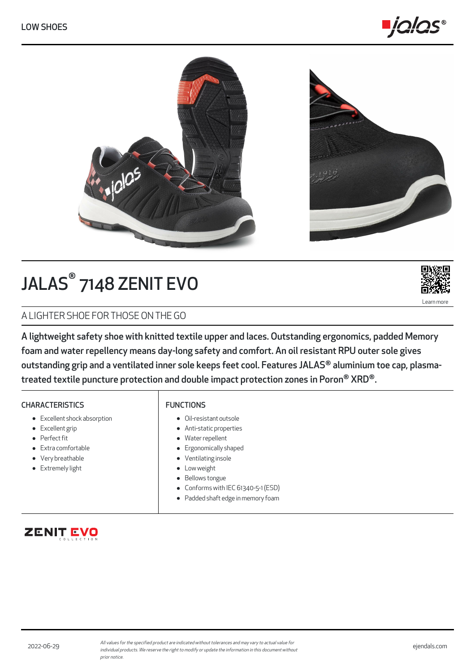



# JALAS® 7148 ZENIT EVO



A LIGHTER SHOE FOR THOSE ON THE GO

A lightweight safety shoe with knitted textile upper and laces. Outstanding ergonomics, padded Memory foam and water repellency means day-long safety and comfort. An oil resistant RPU outer sole gives outstanding grip and a ventilated inner sole keeps feet cool. Features JALAS® aluminium toe cap, plasmatreated textile puncture protection and double impact protection zones in Poron® XRD®.

## **CHARACTERISTICS**

- Excellent shock absorption
- Excellent grip
- Perfect fit
- Extra comfortable
- Very breathable **•** Extremely light

# FUNCTIONS

- Oil-resistant outsole
- Anti-static properties
- Water repellent
- **•** Ergonomically shaped
- Ventilating insole
- Low weight
- Bellows tongue
- Conforms with IEC 61340-5-1 (ESD)  $\bullet$
- Padded shaft edge in memory foam